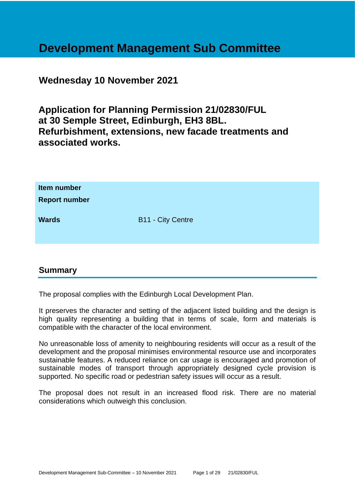# **Development Management Sub Committee**

**Wednesday 10 November 2021**

**Application for Planning Permission 21/02830/FUL at 30 Semple Street, Edinburgh, EH3 8BL. Refurbishment, extensions, new facade treatments and associated works.**

| Item number<br><b>Report number</b> |                          |
|-------------------------------------|--------------------------|
| <b>Wards</b>                        | <b>B11 - City Centre</b> |

# **Summary**

The proposal complies with the Edinburgh Local Development Plan.

It preserves the character and setting of the adjacent listed building and the design is high quality representing a building that in terms of scale, form and materials is compatible with the character of the local environment.

No unreasonable loss of amenity to neighbouring residents will occur as a result of the development and the proposal minimises environmental resource use and incorporates sustainable features. A reduced reliance on car usage is encouraged and promotion of sustainable modes of transport through appropriately designed cycle provision is supported. No specific road or pedestrian safety issues will occur as a result.

The proposal does not result in an increased flood risk. There are no material considerations which outweigh this conclusion.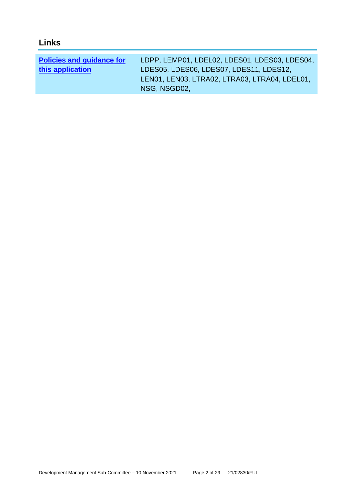| <b>Links</b>                     |                                               |
|----------------------------------|-----------------------------------------------|
|                                  |                                               |
| <b>Policies and guidance for</b> | LDPP, LEMP01, LDEL02, LDES01, LDES03, LDES04, |
| this application                 | LDES05, LDES06, LDES07, LDES11, LDES12,       |
|                                  | LEN01, LEN03, LTRA02, LTRA03, LTRA04, LDEL01, |
|                                  | NSG, NSGD02,                                  |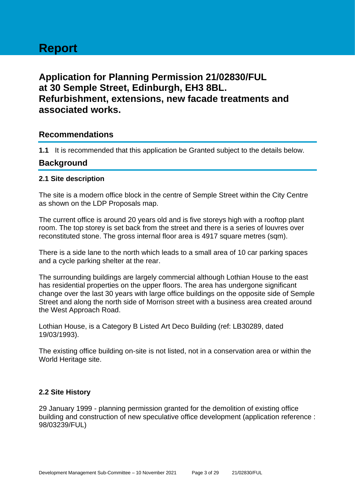# **Report**

# **Application for Planning Permission 21/02830/FUL at 30 Semple Street, Edinburgh, EH3 8BL. Refurbishment, extensions, new facade treatments and associated works.**

# **Recommendations**

**1.1** It is recommended that this application be Granted subject to the details below.

# **Background**

## **2.1 Site description**

The site is a modern office block in the centre of Semple Street within the City Centre as shown on the LDP Proposals map.

The current office is around 20 years old and is five storeys high with a rooftop plant room. The top storey is set back from the street and there is a series of louvres over reconstituted stone. The gross internal floor area is 4917 square metres (sqm).

There is a side lane to the north which leads to a small area of 10 car parking spaces and a cycle parking shelter at the rear.

The surrounding buildings are largely commercial although Lothian House to the east has residential properties on the upper floors. The area has undergone significant change over the last 30 years with large office buildings on the opposite side of Semple Street and along the north side of Morrison street with a business area created around the West Approach Road.

Lothian House, is a Category B Listed Art Deco Building (ref: LB30289, dated 19/03/1993).

The existing office building on-site is not listed, not in a conservation area or within the World Heritage site.

#### **2.2 Site History**

29 January 1999 - planning permission granted for the demolition of existing office building and construction of new speculative office development (application reference : 98/03239/FUL)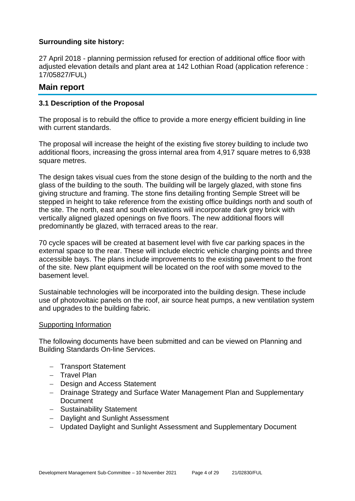## **Surrounding site history:**

27 April 2018 - planning permission refused for erection of additional office floor with adjusted elevation details and plant area at 142 Lothian Road (application reference : 17/05827/FUL)

# **Main report**

#### **3.1 Description of the Proposal**

The proposal is to rebuild the office to provide a more energy efficient building in line with current standards.

The proposal will increase the height of the existing five storey building to include two additional floors, increasing the gross internal area from 4,917 square metres to 6,938 square metres.

The design takes visual cues from the stone design of the building to the north and the glass of the building to the south. The building will be largely glazed, with stone fins giving structure and framing. The stone fins detailing fronting Semple Street will be stepped in height to take reference from the existing office buildings north and south of the site. The north, east and south elevations will incorporate dark grey brick with vertically aligned glazed openings on five floors. The new additional floors will predominantly be glazed, with terraced areas to the rear.

70 cycle spaces will be created at basement level with five car parking spaces in the external space to the rear. These will include electric vehicle charging points and three accessible bays. The plans include improvements to the existing pavement to the front of the site. New plant equipment will be located on the roof with some moved to the basement level.

Sustainable technologies will be incorporated into the building design. These include use of photovoltaic panels on the roof, air source heat pumps, a new ventilation system and upgrades to the building fabric.

#### Supporting Information

The following documents have been submitted and can be viewed on Planning and Building Standards On-line Services.

- − Transport Statement
- − Travel Plan
- − Design and Access Statement
- − Drainage Strategy and Surface Water Management Plan and Supplementary **Document**
- − Sustainability Statement
- − Daylight and Sunlight Assessment
- − Updated Daylight and Sunlight Assessment and Supplementary Document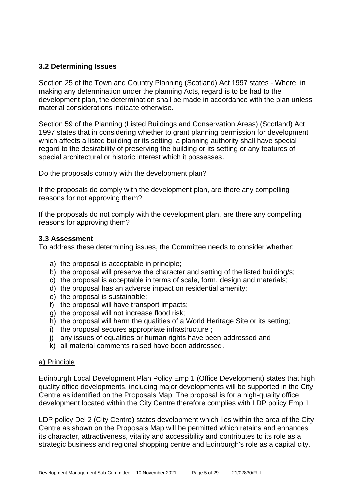## **3.2 Determining Issues**

Section 25 of the Town and Country Planning (Scotland) Act 1997 states - Where, in making any determination under the planning Acts, regard is to be had to the development plan, the determination shall be made in accordance with the plan unless material considerations indicate otherwise.

Section 59 of the Planning (Listed Buildings and Conservation Areas) (Scotland) Act 1997 states that in considering whether to grant planning permission for development which affects a listed building or its setting, a planning authority shall have special regard to the desirability of preserving the building or its setting or any features of special architectural or historic interest which it possesses.

Do the proposals comply with the development plan?

If the proposals do comply with the development plan, are there any compelling reasons for not approving them?

If the proposals do not comply with the development plan, are there any compelling reasons for approving them?

#### **3.3 Assessment**

To address these determining issues, the Committee needs to consider whether:

- a) the proposal is acceptable in principle;
- b) the proposal will preserve the character and setting of the listed building/s;
- c) the proposal is acceptable in terms of scale, form, design and materials;
- d) the proposal has an adverse impact on residential amenity;
- e) the proposal is sustainable;
- f) the proposal will have transport impacts;
- g) the proposal will not increase flood risk;
- h) the proposal will harm the qualities of a World Heritage Site or its setting;
- i) the proposal secures appropriate infrastructure ;
- j) any issues of equalities or human rights have been addressed and
- k) all material comments raised have been addressed.

#### a) Principle

Edinburgh Local Development Plan Policy Emp 1 (Office Development) states that high quality office developments, including major developments will be supported in the City Centre as identified on the Proposals Map. The proposal is for a high-quality office development located within the City Centre therefore complies with LDP policy Emp 1.

LDP policy Del 2 (City Centre) states development which lies within the area of the City Centre as shown on the Proposals Map will be permitted which retains and enhances its character, attractiveness, vitality and accessibility and contributes to its role as a strategic business and regional shopping centre and Edinburgh's role as a capital city.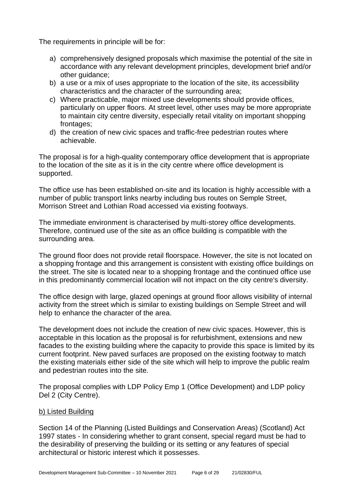The requirements in principle will be for:

- a) comprehensively designed proposals which maximise the potential of the site in accordance with any relevant development principles, development brief and/or other guidance;
- b) a use or a mix of uses appropriate to the location of the site, its accessibility characteristics and the character of the surrounding area;
- c) Where practicable, major mixed use developments should provide offices, particularly on upper floors. At street level, other uses may be more appropriate to maintain city centre diversity, especially retail vitality on important shopping frontages;
- d) the creation of new civic spaces and traffic-free pedestrian routes where achievable.

The proposal is for a high-quality contemporary office development that is appropriate to the location of the site as it is in the city centre where office development is supported.

The office use has been established on-site and its location is highly accessible with a number of public transport links nearby including bus routes on Semple Street, Morrison Street and Lothian Road accessed via existing footways.

The immediate environment is characterised by multi-storey office developments. Therefore, continued use of the site as an office building is compatible with the surrounding area.

The ground floor does not provide retail floorspace. However, the site is not located on a shopping frontage and this arrangement is consistent with existing office buildings on the street. The site is located near to a shopping frontage and the continued office use in this predominantly commercial location will not impact on the city centre's diversity.

The office design with large, glazed openings at ground floor allows visibility of internal activity from the street which is similar to existing buildings on Semple Street and will help to enhance the character of the area.

The development does not include the creation of new civic spaces. However, this is acceptable in this location as the proposal is for refurbishment, extensions and new facades to the existing building where the capacity to provide this space is limited by its current footprint. New paved surfaces are proposed on the existing footway to match the existing materials either side of the site which will help to improve the public realm and pedestrian routes into the site.

The proposal complies with LDP Policy Emp 1 (Office Development) and LDP policy Del 2 (City Centre).

#### b) Listed Building

Section 14 of the Planning (Listed Buildings and Conservation Areas) (Scotland) Act 1997 states - In considering whether to grant consent, special regard must be had to the desirability of preserving the building or its setting or any features of special architectural or historic interest which it possesses.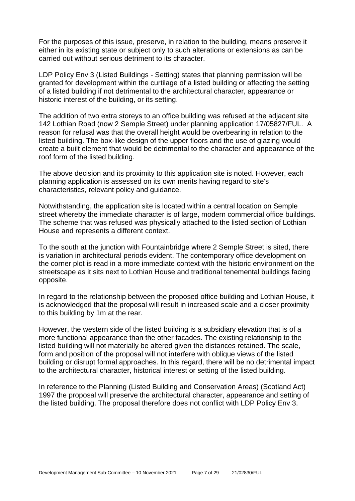For the purposes of this issue, preserve, in relation to the building, means preserve it either in its existing state or subject only to such alterations or extensions as can be carried out without serious detriment to its character.

LDP Policy Env 3 (Listed Buildings - Setting) states that planning permission will be granted for development within the curtilage of a listed building or affecting the setting of a listed building if not detrimental to the architectural character, appearance or historic interest of the building, or its setting.

The addition of two extra storeys to an office building was refused at the adjacent site 142 Lothian Road (now 2 Semple Street) under planning application 17/05827/FUL. A reason for refusal was that the overall height would be overbearing in relation to the listed building. The box-like design of the upper floors and the use of glazing would create a built element that would be detrimental to the character and appearance of the roof form of the listed building.

The above decision and its proximity to this application site is noted. However, each planning application is assessed on its own merits having regard to site's characteristics, relevant policy and guidance.

Notwithstanding, the application site is located within a central location on Semple street whereby the immediate character is of large, modern commercial office buildings. The scheme that was refused was physically attached to the listed section of Lothian House and represents a different context.

To the south at the junction with Fountainbridge where 2 Semple Street is sited, there is variation in architectural periods evident. The contemporary office development on the corner plot is read in a more immediate context with the historic environment on the streetscape as it sits next to Lothian House and traditional tenemental buildings facing opposite.

In regard to the relationship between the proposed office building and Lothian House, it is acknowledged that the proposal will result in increased scale and a closer proximity to this building by 1m at the rear.

However, the western side of the listed building is a subsidiary elevation that is of a more functional appearance than the other facades. The existing relationship to the listed building will not materially be altered given the distances retained. The scale, form and position of the proposal will not interfere with oblique views of the listed building or disrupt formal approaches. In this regard, there will be no detrimental impact to the architectural character, historical interest or setting of the listed building.

In reference to the Planning (Listed Building and Conservation Areas) (Scotland Act) 1997 the proposal will preserve the architectural character, appearance and setting of the listed building. The proposal therefore does not conflict with LDP Policy Env 3.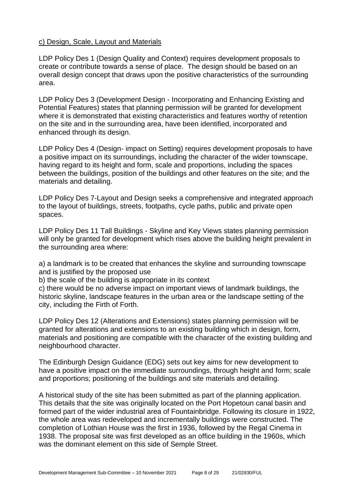#### c) Design, Scale, Layout and Materials

LDP Policy Des 1 (Design Quality and Context) requires development proposals to create or contribute towards a sense of place. The design should be based on an overall design concept that draws upon the positive characteristics of the surrounding area.

LDP Policy Des 3 (Development Design - Incorporating and Enhancing Existing and Potential Features) states that planning permission will be granted for development where it is demonstrated that existing characteristics and features worthy of retention on the site and in the surrounding area, have been identified, incorporated and enhanced through its design.

LDP Policy Des 4 (Design- impact on Setting) requires development proposals to have a positive impact on its surroundings, including the character of the wider townscape, having regard to its height and form, scale and proportions, including the spaces between the buildings, position of the buildings and other features on the site; and the materials and detailing.

LDP Policy Des 7-Layout and Design seeks a comprehensive and integrated approach to the layout of buildings, streets, footpaths, cycle paths, public and private open spaces.

LDP Policy Des 11 Tall Buildings - Skyline and Key Views states planning permission will only be granted for development which rises above the building height prevalent in the surrounding area where:

a) a landmark is to be created that enhances the skyline and surrounding townscape and is justified by the proposed use

b) the scale of the building is appropriate in its context

c) there would be no adverse impact on important views of landmark buildings, the historic skyline, landscape features in the urban area or the landscape setting of the city, including the Firth of Forth.

LDP Policy Des 12 (Alterations and Extensions) states planning permission will be granted for alterations and extensions to an existing building which in design, form, materials and positioning are compatible with the character of the existing building and neighbourhood character.

The Edinburgh Design Guidance (EDG) sets out key aims for new development to have a positive impact on the immediate surroundings, through height and form; scale and proportions; positioning of the buildings and site materials and detailing.

A historical study of the site has been submitted as part of the planning application. This details that the site was originally located on the Port Hopetoun canal basin and formed part of the wider industrial area of Fountainbridge. Following its closure in 1922, the whole area was redeveloped and incrementally buildings were constructed. The completion of Lothian House was the first in 1936, followed by the Regal Cinema in 1938. The proposal site was first developed as an office building in the 1960s, which was the dominant element on this side of Semple Street.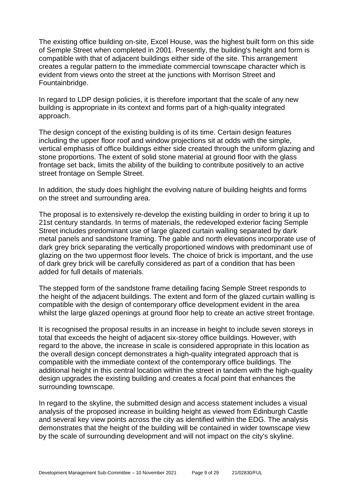The existing office building on-site, Excel House, was the highest built form on this side of Semple Street when completed in 2001. Presently, the building's height and form is compatible with that of adjacent buildings either side of the site. This arrangement creates a regular pattern to the immediate commercial townscape character which is evident from views onto the street at the junctions with Morrison Street and Fountainbridge.

In regard to LDP design policies, it is therefore important that the scale of any new building is appropriate in its context and forms part of a high-quality integrated approach.

The design concept of the existing building is of its time. Certain design features including the upper floor roof and window projections sit at odds with the simple, vertical emphasis of office buildings either side created through the uniform glazing and stone proportions. The extent of solid stone material at ground floor with the glass frontage set back, limits the ability of the building to contribute positively to an active street frontage on Semple Street.

In addition, the study does highlight the evolving nature of building heights and forms on the street and surrounding area.

The proposal is to extensively re-develop the existing building in order to bring it up to 21st century standards. In terms of materials, the redeveloped exterior facing Semple Street includes predominant use of large glazed curtain walling separated by dark metal panels and sandstone framing. The gable and north elevations incorporate use of dark grey brick separating the vertically proportioned windows with predominant use of glazing on the two uppermost floor levels. The choice of brick is important, and the use of dark grey brick will be carefully considered as part of a condition that has been added for full details of materials.

The stepped form of the sandstone frame detailing facing Semple Street responds to the height of the adjacent buildings. The extent and form of the glazed curtain walling is compatible with the design of contemporary office development evident in the area whilst the large glazed openings at ground floor help to create an active street frontage.

It is recognised the proposal results in an increase in height to include seven storeys in total that exceeds the height of adjacent six-storey office buildings. However, with regard to the above, the increase in scale is considered appropriate in this location as the overall design concept demonstrates a high-quality integrated approach that is compatible with the immediate context of the contemporary office buildings. The additional height in this central location within the street in tandem with the high-quality design upgrades the existing building and creates a focal point that enhances the surrounding townscape.

In regard to the skyline, the submitted design and access statement includes a visual analysis of the proposed increase in building height as viewed from Edinburgh Castle and several key view points across the city as identified within the EDG. The analysis demonstrates that the height of the building will be contained in wider townscape view by the scale of surrounding development and will not impact on the city's skyline.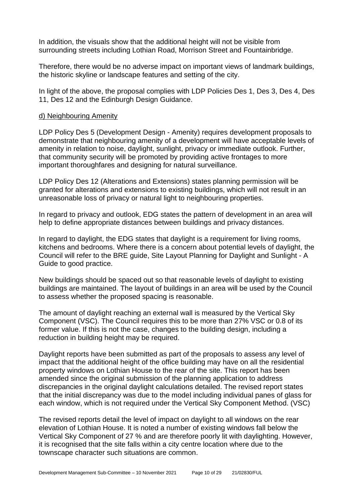In addition, the visuals show that the additional height will not be visible from surrounding streets including Lothian Road, Morrison Street and Fountainbridge.

Therefore, there would be no adverse impact on important views of landmark buildings, the historic skyline or landscape features and setting of the city.

In light of the above, the proposal complies with LDP Policies Des 1, Des 3, Des 4, Des 11, Des 12 and the Edinburgh Design Guidance.

#### d) Neighbouring Amenity

LDP Policy Des 5 (Development Design - Amenity) requires development proposals to demonstrate that neighbouring amenity of a development will have acceptable levels of amenity in relation to noise, daylight, sunlight, privacy or immediate outlook. Further, that community security will be promoted by providing active frontages to more important thoroughfares and designing for natural surveillance.

LDP Policy Des 12 (Alterations and Extensions) states planning permission will be granted for alterations and extensions to existing buildings, which will not result in an unreasonable loss of privacy or natural light to neighbouring properties.

In regard to privacy and outlook, EDG states the pattern of development in an area will help to define appropriate distances between buildings and privacy distances.

In regard to daylight, the EDG states that daylight is a requirement for living rooms, kitchens and bedrooms. Where there is a concern about potential levels of daylight, the Council will refer to the BRE guide, Site Layout Planning for Daylight and Sunlight - A Guide to good practice.

New buildings should be spaced out so that reasonable levels of daylight to existing buildings are maintained. The layout of buildings in an area will be used by the Council to assess whether the proposed spacing is reasonable.

The amount of daylight reaching an external wall is measured by the Vertical Sky Component (VSC). The Council requires this to be more than 27% VSC or 0.8 of its former value. If this is not the case, changes to the building design, including a reduction in building height may be required.

Daylight reports have been submitted as part of the proposals to assess any level of impact that the additional height of the office building may have on all the residential property windows on Lothian House to the rear of the site. This report has been amended since the original submission of the planning application to address discrepancies in the original daylight calculations detailed. The revised report states that the initial discrepancy was due to the model including individual panes of glass for each window, which is not required under the Vertical Sky Component Method. (VSC)

The revised reports detail the level of impact on daylight to all windows on the rear elevation of Lothian House. It is noted a number of existing windows fall below the Vertical Sky Component of 27 % and are therefore poorly lit with daylighting. However, it is recognised that the site falls within a city centre location where due to the townscape character such situations are common.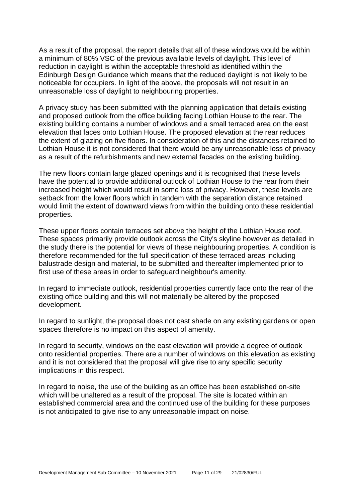As a result of the proposal, the report details that all of these windows would be within a minimum of 80% VSC of the previous available levels of daylight. This level of reduction in daylight is within the acceptable threshold as identified within the Edinburgh Design Guidance which means that the reduced daylight is not likely to be noticeable for occupiers. In light of the above, the proposals will not result in an unreasonable loss of daylight to neighbouring properties.

A privacy study has been submitted with the planning application that details existing and proposed outlook from the office building facing Lothian House to the rear. The existing building contains a number of windows and a small terraced area on the east elevation that faces onto Lothian House. The proposed elevation at the rear reduces the extent of glazing on five floors. In consideration of this and the distances retained to Lothian House it is not considered that there would be any unreasonable loss of privacy as a result of the refurbishments and new external facades on the existing building.

The new floors contain large glazed openings and it is recognised that these levels have the potential to provide additional outlook of Lothian House to the rear from their increased height which would result in some loss of privacy. However, these levels are setback from the lower floors which in tandem with the separation distance retained would limit the extent of downward views from within the building onto these residential properties.

These upper floors contain terraces set above the height of the Lothian House roof. These spaces primarily provide outlook across the City's skyline however as detailed in the study there is the potential for views of these neighbouring properties. A condition is therefore recommended for the full specification of these terraced areas including balustrade design and material, to be submitted and thereafter implemented prior to first use of these areas in order to safeguard neighbour's amenity.

In regard to immediate outlook, residential properties currently face onto the rear of the existing office building and this will not materially be altered by the proposed development.

In regard to sunlight, the proposal does not cast shade on any existing gardens or open spaces therefore is no impact on this aspect of amenity.

In regard to security, windows on the east elevation will provide a degree of outlook onto residential properties. There are a number of windows on this elevation as existing and it is not considered that the proposal will give rise to any specific security implications in this respect.

In regard to noise, the use of the building as an office has been established on-site which will be unaltered as a result of the proposal. The site is located within an established commercial area and the continued use of the building for these purposes is not anticipated to give rise to any unreasonable impact on noise.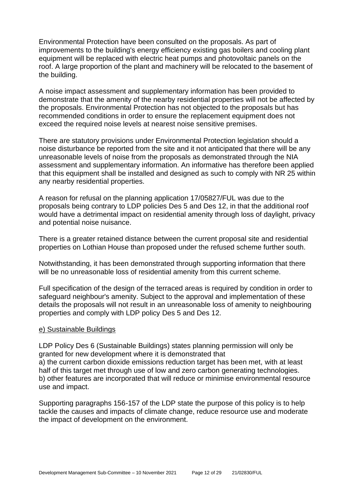Environmental Protection have been consulted on the proposals. As part of improvements to the building's energy efficiency existing gas boilers and cooling plant equipment will be replaced with electric heat pumps and photovoltaic panels on the roof. A large proportion of the plant and machinery will be relocated to the basement of the building.

A noise impact assessment and supplementary information has been provided to demonstrate that the amenity of the nearby residential properties will not be affected by the proposals. Environmental Protection has not objected to the proposals but has recommended conditions in order to ensure the replacement equipment does not exceed the required noise levels at nearest noise sensitive premises.

There are statutory provisions under Environmental Protection legislation should a noise disturbance be reported from the site and it not anticipated that there will be any unreasonable levels of noise from the proposals as demonstrated through the NIA assessment and supplementary information. An informative has therefore been applied that this equipment shall be installed and designed as such to comply with NR 25 within any nearby residential properties.

A reason for refusal on the planning application 17/05827/FUL was due to the proposals being contrary to LDP policies Des 5 and Des 12, in that the additional roof would have a detrimental impact on residential amenity through loss of daylight, privacy and potential noise nuisance.

There is a greater retained distance between the current proposal site and residential properties on Lothian House than proposed under the refused scheme further south.

Notwithstanding, it has been demonstrated through supporting information that there will be no unreasonable loss of residential amenity from this current scheme.

Full specification of the design of the terraced areas is required by condition in order to safeguard neighbour's amenity. Subject to the approval and implementation of these details the proposals will not result in an unreasonable loss of amenity to neighbouring properties and comply with LDP policy Des 5 and Des 12.

#### e) Sustainable Buildings

LDP Policy Des 6 (Sustainable Buildings) states planning permission will only be granted for new development where it is demonstrated that a) the current carbon dioxide emissions reduction target has been met, with at least half of this target met through use of low and zero carbon generating technologies. b) other features are incorporated that will reduce or minimise environmental resource use and impact.

Supporting paragraphs 156-157 of the LDP state the purpose of this policy is to help tackle the causes and impacts of climate change, reduce resource use and moderate the impact of development on the environment.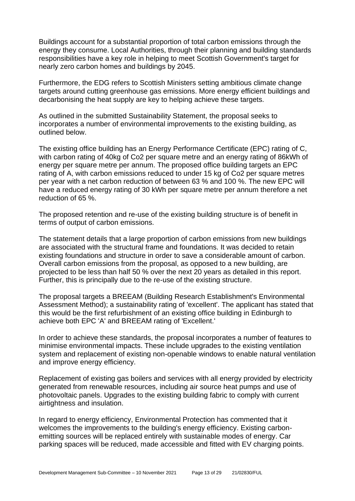Buildings account for a substantial proportion of total carbon emissions through the energy they consume. Local Authorities, through their planning and building standards responsibilities have a key role in helping to meet Scottish Government's target for nearly zero carbon homes and buildings by 2045.

Furthermore, the EDG refers to Scottish Ministers setting ambitious climate change targets around cutting greenhouse gas emissions. More energy efficient buildings and decarbonising the heat supply are key to helping achieve these targets.

As outlined in the submitted Sustainability Statement, the proposal seeks to incorporates a number of environmental improvements to the existing building, as outlined below.

The existing office building has an Energy Performance Certificate (EPC) rating of C, with carbon rating of 40kg of Co2 per square metre and an energy rating of 86kWh of energy per square metre per annum. The proposed office building targets an EPC rating of A, with carbon emissions reduced to under 15 kg of Co2 per square metres per year with a net carbon reduction of between 63 % and 100 %. The new EPC will have a reduced energy rating of 30 kWh per square metre per annum therefore a net reduction of 65 %.

The proposed retention and re-use of the existing building structure is of benefit in terms of output of carbon emissions.

The statement details that a large proportion of carbon emissions from new buildings are associated with the structural frame and foundations. It was decided to retain existing foundations and structure in order to save a considerable amount of carbon. Overall carbon emissions from the proposal, as opposed to a new building, are projected to be less than half 50 % over the next 20 years as detailed in this report. Further, this is principally due to the re-use of the existing structure.

The proposal targets a BREEAM (Building Research Establishment's Environmental Assessment Method); a sustainability rating of 'excellent'. The applicant has stated that this would be the first refurbishment of an existing office building in Edinburgh to achieve both EPC 'A' and BREEAM rating of 'Excellent.'

In order to achieve these standards, the proposal incorporates a number of features to minimise environmental impacts. These include upgrades to the existing ventilation system and replacement of existing non-openable windows to enable natural ventilation and improve energy efficiency.

Replacement of existing gas boilers and services with all energy provided by electricity generated from renewable resources, including air source heat pumps and use of photovoltaic panels. Upgrades to the existing building fabric to comply with current airtightness and insulation.

In regard to energy efficiency, Environmental Protection has commented that it welcomes the improvements to the building's energy efficiency. Existing carbonemitting sources will be replaced entirely with sustainable modes of energy. Car parking spaces will be reduced, made accessible and fitted with EV charging points.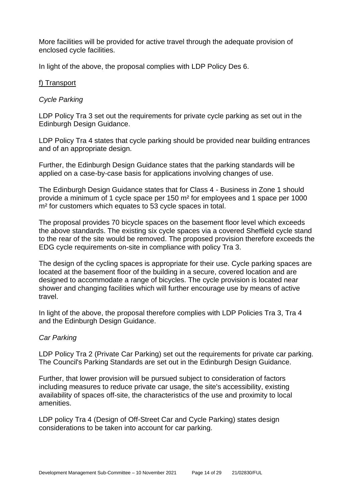More facilities will be provided for active travel through the adequate provision of enclosed cycle facilities.

In light of the above, the proposal complies with LDP Policy Des 6.

#### f) Transport

#### *Cycle Parking*

LDP Policy Tra 3 set out the requirements for private cycle parking as set out in the Edinburgh Design Guidance.

LDP Policy Tra 4 states that cycle parking should be provided near building entrances and of an appropriate design.

Further, the Edinburgh Design Guidance states that the parking standards will be applied on a case-by-case basis for applications involving changes of use.

The Edinburgh Design Guidance states that for Class 4 - Business in Zone 1 should provide a minimum of 1 cycle space per 150 m² for employees and 1 space per 1000 m<sup>2</sup> for customers which equates to 53 cycle spaces in total.

The proposal provides 70 bicycle spaces on the basement floor level which exceeds the above standards. The existing six cycle spaces via a covered Sheffield cycle stand to the rear of the site would be removed. The proposed provision therefore exceeds the EDG cycle requirements on-site in compliance with policy Tra 3.

The design of the cycling spaces is appropriate for their use. Cycle parking spaces are located at the basement floor of the building in a secure, covered location and are designed to accommodate a range of bicycles. The cycle provision is located near shower and changing facilities which will further encourage use by means of active travel.

In light of the above, the proposal therefore complies with LDP Policies Tra 3, Tra 4 and the Edinburgh Design Guidance.

#### *Car Parking*

LDP Policy Tra 2 (Private Car Parking) set out the requirements for private car parking. The Council's Parking Standards are set out in the Edinburgh Design Guidance.

Further, that lower provision will be pursued subject to consideration of factors including measures to reduce private car usage, the site's accessibility, existing availability of spaces off-site, the characteristics of the use and proximity to local amenities.

LDP policy Tra 4 (Design of Off-Street Car and Cycle Parking) states design considerations to be taken into account for car parking.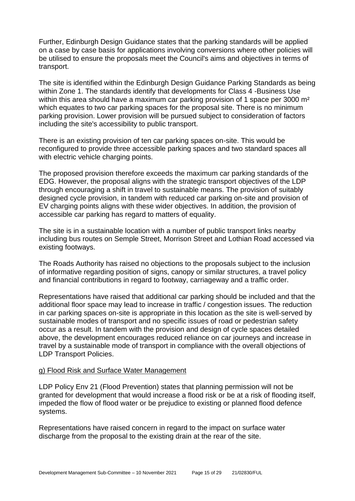Further, Edinburgh Design Guidance states that the parking standards will be applied on a case by case basis for applications involving conversions where other policies will be utilised to ensure the proposals meet the Council's aims and objectives in terms of transport.

The site is identified within the Edinburgh Design Guidance Parking Standards as being within Zone 1. The standards identify that developments for Class 4 -Business Use within this area should have a maximum car parking provision of 1 space per 3000 m<sup>2</sup> which equates to two car parking spaces for the proposal site. There is no minimum parking provision. Lower provision will be pursued subject to consideration of factors including the site's accessibility to public transport.

There is an existing provision of ten car parking spaces on-site. This would be reconfigured to provide three accessible parking spaces and two standard spaces all with electric vehicle charging points.

The proposed provision therefore exceeds the maximum car parking standards of the EDG. However, the proposal aligns with the strategic transport objectives of the LDP through encouraging a shift in travel to sustainable means. The provision of suitably designed cycle provision, in tandem with reduced car parking on-site and provision of EV charging points aligns with these wider objectives. In addition, the provision of accessible car parking has regard to matters of equality.

The site is in a sustainable location with a number of public transport links nearby including bus routes on Semple Street, Morrison Street and Lothian Road accessed via existing footways.

The Roads Authority has raised no objections to the proposals subject to the inclusion of informative regarding position of signs, canopy or similar structures, a travel policy and financial contributions in regard to footway, carriageway and a traffic order.

Representations have raised that additional car parking should be included and that the additional floor space may lead to increase in traffic / congestion issues. The reduction in car parking spaces on-site is appropriate in this location as the site is well-served by sustainable modes of transport and no specific issues of road or pedestrian safety occur as a result. In tandem with the provision and design of cycle spaces detailed above, the development encourages reduced reliance on car journeys and increase in travel by a sustainable mode of transport in compliance with the overall objections of LDP Transport Policies.

#### g) Flood Risk and Surface Water Management

LDP Policy Env 21 (Flood Prevention) states that planning permission will not be granted for development that would increase a flood risk or be at a risk of flooding itself, impeded the flow of flood water or be prejudice to existing or planned flood defence systems.

Representations have raised concern in regard to the impact on surface water discharge from the proposal to the existing drain at the rear of the site.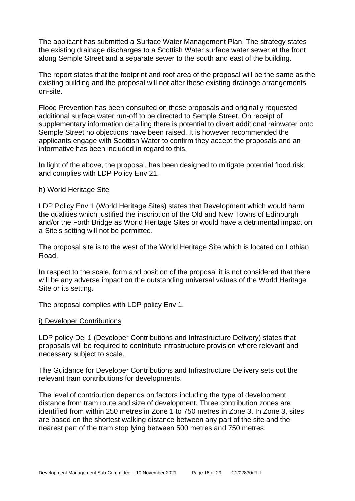The applicant has submitted a Surface Water Management Plan. The strategy states the existing drainage discharges to a Scottish Water surface water sewer at the front along Semple Street and a separate sewer to the south and east of the building.

The report states that the footprint and roof area of the proposal will be the same as the existing building and the proposal will not alter these existing drainage arrangements on-site.

Flood Prevention has been consulted on these proposals and originally requested additional surface water run-off to be directed to Semple Street. On receipt of supplementary information detailing there is potential to divert additional rainwater onto Semple Street no objections have been raised. It is however recommended the applicants engage with Scottish Water to confirm they accept the proposals and an informative has been included in regard to this.

In light of the above, the proposal, has been designed to mitigate potential flood risk and complies with LDP Policy Env 21.

#### h) World Heritage Site

LDP Policy Env 1 (World Heritage Sites) states that Development which would harm the qualities which justified the inscription of the Old and New Towns of Edinburgh and/or the Forth Bridge as World Heritage Sites or would have a detrimental impact on a Site's setting will not be permitted.

The proposal site is to the west of the World Heritage Site which is located on Lothian Road.

In respect to the scale, form and position of the proposal it is not considered that there will be any adverse impact on the outstanding universal values of the World Heritage Site or its setting.

The proposal complies with LDP policy Env 1.

#### i) Developer Contributions

LDP policy Del 1 (Developer Contributions and Infrastructure Delivery) states that proposals will be required to contribute infrastructure provision where relevant and necessary subject to scale.

The Guidance for Developer Contributions and Infrastructure Delivery sets out the relevant tram contributions for developments.

The level of contribution depends on factors including the type of development, distance from tram route and size of development. Three contribution zones are identified from within 250 metres in Zone 1 to 750 metres in Zone 3. In Zone 3, sites are based on the shortest walking distance between any part of the site and the nearest part of the tram stop lying between 500 metres and 750 metres.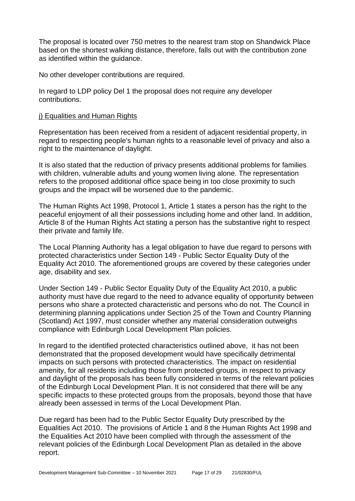The proposal is located over 750 metres to the nearest tram stop on Shandwick Place based on the shortest walking distance, therefore, falls out with the contribution zone as identified within the guidance.

No other developer contributions are required.

In regard to LDP policy Del 1 the proposal does not require any developer contributions.

#### j) Equalities and Human Rights

Representation has been received from a resident of adjacent residential property, in regard to respecting people's human rights to a reasonable level of privacy and also a right to the maintenance of daylight.

It is also stated that the reduction of privacy presents additional problems for families with children, vulnerable adults and young women living alone. The representation refers to the proposed additional office space being in too close proximity to such groups and the impact will be worsened due to the pandemic.

The Human Rights Act 1998, Protocol 1, Article 1 states a person has the right to the peaceful enjoyment of all their possessions including home and other land. In addition, Article 8 of the Human Rights Act stating a person has the substantive right to respect their private and family life.

The Local Planning Authority has a legal obligation to have due regard to persons with protected characteristics under Section 149 - Public Sector Equality Duty of the Equality Act 2010. The aforementioned groups are covered by these categories under age, disability and sex.

Under Section 149 - Public Sector Equality Duty of the Equality Act 2010, a public authority must have due regard to the need to advance equality of opportunity between persons who share a protected characteristic and persons who do not. The Council in determining planning applications under Section 25 of the Town and Country Planning (Scotland) Act 1997, must consider whether any material consideration outweighs compliance with Edinburgh Local Development Plan policies.

In regard to the identified protected characteristics outlined above, it has not been demonstrated that the proposed development would have specifically detrimental impacts on such persons with protected characteristics. The impact on residential amenity, for all residents including those from protected groups, in respect to privacy and daylight of the proposals has been fully considered in terms of the relevant policies of the Edinburgh Local Development Plan. It is not considered that there will be any specific impacts to these protected groups from the proposals, beyond those that have already been assessed in terms of the Local Development Plan.

Due regard has been had to the Public Sector Equality Duty prescribed by the Equalities Act 2010. The provisions of Article 1 and 8 the Human Rights Act 1998 and the Equalities Act 2010 have been complied with through the assessment of the relevant policies of the Edinburgh Local Development Plan as detailed in the above report.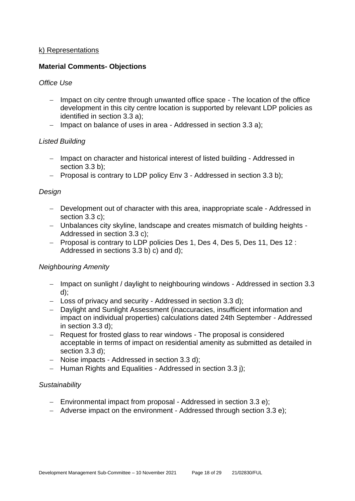#### k) Representations

#### **Material Comments- Objections**

#### *Office Use*

- − Impact on city centre through unwanted office space The location of the office development in this city centre location is supported by relevant LDP policies as identified in section 3.3 a);
- − Impact on balance of uses in area Addressed in section 3.3 a);

#### *Listed Building*

- − Impact on character and historical interest of listed building Addressed in section 3.3 b):
- − Proposal is contrary to LDP policy Env 3 Addressed in section 3.3 b);

#### *Design*

- − Development out of character with this area, inappropriate scale Addressed in section 3.3 c):
- − Unbalances city skyline, landscape and creates mismatch of building heights Addressed in section 3.3 c);
- − Proposal is contrary to LDP policies Des 1, Des 4, Des 5, Des 11, Des 12 : Addressed in sections 3.3 b) c) and d);

#### *Neighbouring Amenity*

- − Impact on sunlight / daylight to neighbouring windows Addressed in section 3.3 d);
- − Loss of privacy and security Addressed in section 3.3 d);
- − Daylight and Sunlight Assessment (inaccuracies, insufficient information and impact on individual properties) calculations dated 24th September - Addressed in section 3.3 d);
- − Request for frosted glass to rear windows The proposal is considered acceptable in terms of impact on residential amenity as submitted as detailed in section 3.3 d):
- − Noise impacts Addressed in section 3.3 d);
- − Human Rights and Equalities Addressed in section 3.3 j);

#### *Sustainability*

- − Environmental impact from proposal Addressed in section 3.3 e);
- − Adverse impact on the environment Addressed through section 3.3 e);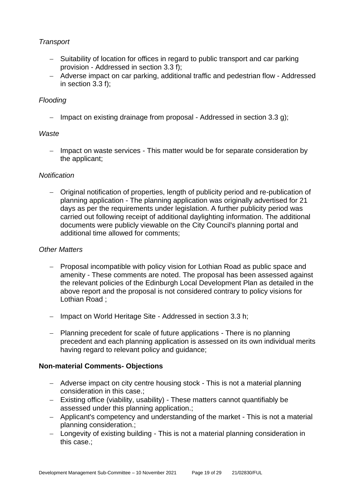# *Transport*

- − Suitability of location for offices in regard to public transport and car parking provision - Addressed in section 3.3 f);
- − Adverse impact on car parking, additional traffic and pedestrian flow Addressed in section 3.3 f);

## *Flooding*

− Impact on existing drainage from proposal - Addressed in section 3.3 g);

## *Waste*

− Impact on waste services - This matter would be for separate consideration by the applicant;

## *Notification*

− Original notification of properties, length of publicity period and re-publication of planning application - The planning application was originally advertised for 21 days as per the requirements under legislation. A further publicity period was carried out following receipt of additional daylighting information. The additional documents were publicly viewable on the City Council's planning portal and additional time allowed for comments;

#### *Other Matters*

- − Proposal incompatible with policy vision for Lothian Road as public space and amenity - These comments are noted. The proposal has been assessed against the relevant policies of the Edinburgh Local Development Plan as detailed in the above report and the proposal is not considered contrary to policy visions for Lothian Road ;
- − Impact on World Heritage Site Addressed in section 3.3 h;
- − Planning precedent for scale of future applications There is no planning precedent and each planning application is assessed on its own individual merits having regard to relevant policy and guidance;

#### **Non-material Comments- Objections**

- − Adverse impact on city centre housing stock This is not a material planning consideration in this case.;
- − Existing office (viability, usability) These matters cannot quantifiably be assessed under this planning application.;
- − Applicant's competency and understanding of the market This is not a material planning consideration.;
- − Longevity of existing building This is not a material planning consideration in this case.;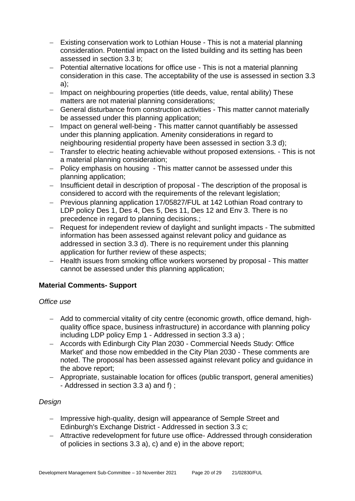- − Existing conservation work to Lothian House This is not a material planning consideration. Potential impact on the listed building and its setting has been assessed in section 3.3 b;
- − Potential alternative locations for office use This is not a material planning consideration in this case. The acceptability of the use is assessed in section 3.3 a);
- − Impact on neighbouring properties (title deeds, value, rental ability) These matters are not material planning considerations;
- − General disturbance from construction activities This matter cannot materially be assessed under this planning application;
- − Impact on general well-being This matter cannot quantifiably be assessed under this planning application. Amenity considerations in regard to neighbouring residential property have been assessed in section 3.3 d);
- − Transfer to electric heating achievable without proposed extensions. This is not a material planning consideration;
- − Policy emphasis on housing This matter cannot be assessed under this planning application;
- − Insufficient detail in description of proposal The description of the proposal is considered to accord with the requirements of the relevant legislation;
- − Previous planning application 17/05827/FUL at 142 Lothian Road contrary to LDP policy Des 1, Des 4, Des 5, Des 11, Des 12 and Env 3. There is no precedence in regard to planning decisions.;
- − Request for independent review of daylight and sunlight impacts The submitted information has been assessed against relevant policy and guidance as addressed in section 3.3 d). There is no requirement under this planning application for further review of these aspects;
- − Health issues from smoking office workers worsened by proposal This matter cannot be assessed under this planning application;

# **Material Comments- Support**

#### *Office use*

- − Add to commercial vitality of city centre (economic growth, office demand, highquality office space, business infrastructure) in accordance with planning policy including LDP policy Emp 1 - Addressed in section 3.3 a) ;
- − Accords with Edinburgh City Plan 2030 Commercial Needs Study: Office Market' and those now embedded in the City Plan 2030 - These comments are noted. The proposal has been assessed against relevant policy and guidance in the above report;
- − Appropriate, sustainable location for offices (public transport, general amenities) - Addressed in section 3.3 a) and f) ;

# *Design*

- − Impressive high-quality, design will appearance of Semple Street and Edinburgh's Exchange District - Addressed in section 3.3 c;
- − Attractive redevelopment for future use office- Addressed through consideration of policies in sections 3.3 a), c) and e) in the above report;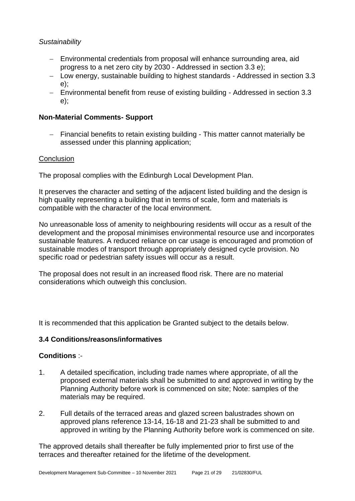## *Sustainability*

- − Environmental credentials from proposal will enhance surrounding area, aid progress to a net zero city by 2030 - Addressed in section 3.3 e);
- − Low energy, sustainable building to highest standards Addressed in section 3.3 e);
- − Environmental benefit from reuse of existing building Addressed in section 3.3 e);

# **Non-Material Comments- Support**

− Financial benefits to retain existing building - This matter cannot materially be assessed under this planning application;

## **Conclusion**

The proposal complies with the Edinburgh Local Development Plan.

It preserves the character and setting of the adjacent listed building and the design is high quality representing a building that in terms of scale, form and materials is compatible with the character of the local environment.

No unreasonable loss of amenity to neighbouring residents will occur as a result of the development and the proposal minimises environmental resource use and incorporates sustainable features. A reduced reliance on car usage is encouraged and promotion of sustainable modes of transport through appropriately designed cycle provision. No specific road or pedestrian safety issues will occur as a result.

The proposal does not result in an increased flood risk. There are no material considerations which outweigh this conclusion.

It is recommended that this application be Granted subject to the details below.

#### **3.4 Conditions/reasons/informatives**

#### **Conditions** :-

- 1. A detailed specification, including trade names where appropriate, of all the proposed external materials shall be submitted to and approved in writing by the Planning Authority before work is commenced on site; Note: samples of the materials may be required.
- 2. Full details of the terraced areas and glazed screen balustrades shown on approved plans reference 13-14, 16-18 and 21-23 shall be submitted to and approved in writing by the Planning Authority before work is commenced on site.

The approved details shall thereafter be fully implemented prior to first use of the terraces and thereafter retained for the lifetime of the development.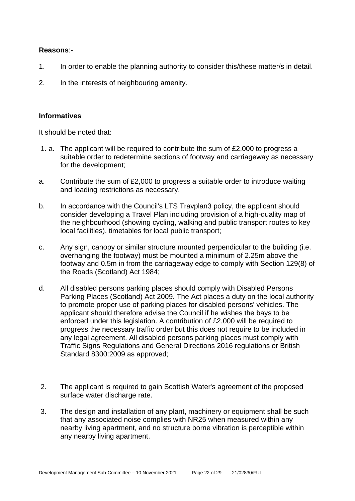#### **Reasons**:-

- 1. In order to enable the planning authority to consider this/these matter/s in detail.
- 2. In the interests of neighbouring amenity.

#### **Informatives**

It should be noted that:

- 1. a. The applicant will be required to contribute the sum of £2,000 to progress a suitable order to redetermine sections of footway and carriageway as necessary for the development;
- a. Contribute the sum of £2,000 to progress a suitable order to introduce waiting and loading restrictions as necessary.
- b. In accordance with the Council's LTS Travplan3 policy, the applicant should consider developing a Travel Plan including provision of a high-quality map of the neighbourhood (showing cycling, walking and public transport routes to key local facilities), timetables for local public transport;
- c. Any sign, canopy or similar structure mounted perpendicular to the building (i.e. overhanging the footway) must be mounted a minimum of 2.25m above the footway and 0.5m in from the carriageway edge to comply with Section 129(8) of the Roads (Scotland) Act 1984;
- d. All disabled persons parking places should comply with Disabled Persons Parking Places (Scotland) Act 2009. The Act places a duty on the local authority to promote proper use of parking places for disabled persons' vehicles. The applicant should therefore advise the Council if he wishes the bays to be enforced under this legislation. A contribution of £2,000 will be required to progress the necessary traffic order but this does not require to be included in any legal agreement. All disabled persons parking places must comply with Traffic Signs Regulations and General Directions 2016 regulations or British Standard 8300:2009 as approved;
- 2. The applicant is required to gain Scottish Water's agreement of the proposed surface water discharge rate.
- 3. The design and installation of any plant, machinery or equipment shall be such that any associated noise complies with NR25 when measured within any nearby living apartment, and no structure borne vibration is perceptible within any nearby living apartment.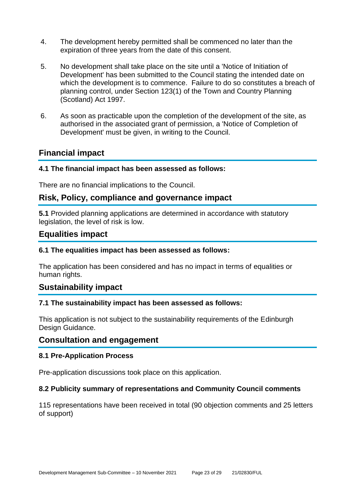- 4. The development hereby permitted shall be commenced no later than the expiration of three years from the date of this consent.
- 5. No development shall take place on the site until a 'Notice of Initiation of Development' has been submitted to the Council stating the intended date on which the development is to commence. Failure to do so constitutes a breach of planning control, under Section 123(1) of the Town and Country Planning (Scotland) Act 1997.
- 6. As soon as practicable upon the completion of the development of the site, as authorised in the associated grant of permission, a 'Notice of Completion of Development' must be given, in writing to the Council.

# **Financial impact**

#### **4.1 The financial impact has been assessed as follows:**

There are no financial implications to the Council.

# **Risk, Policy, compliance and governance impact**

**5.1** Provided planning applications are determined in accordance with statutory legislation, the level of risk is low.

# **Equalities impact**

#### **6.1 The equalities impact has been assessed as follows:**

The application has been considered and has no impact in terms of equalities or human rights.

# **Sustainability impact**

#### **7.1 The sustainability impact has been assessed as follows:**

This application is not subject to the sustainability requirements of the Edinburgh Design Guidance.

# **Consultation and engagement**

#### **8.1 Pre-Application Process**

Pre-application discussions took place on this application.

#### **8.2 Publicity summary of representations and Community Council comments**

115 representations have been received in total (90 objection comments and 25 letters of support)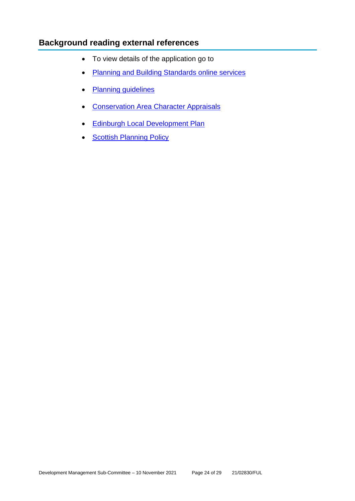# **Background reading external references**

- To view details of the application go to
- [Planning and Building Standards online services](https://citydev-portal.edinburgh.gov.uk/idoxpa-web/search.do?action=simple&searchType=Application)
- [Planning guidelines](http://www.edinburgh.gov.uk/planningguidelines)
- [Conservation Area Character Appraisals](http://www.edinburgh.gov.uk/characterappraisals)
- [Edinburgh Local Development Plan](http://www.edinburgh.gov.uk/localdevelopmentplan)
- **[Scottish Planning Policy](http://www.scotland.gov.uk/Topics/Built-Environment/planning/Policy)**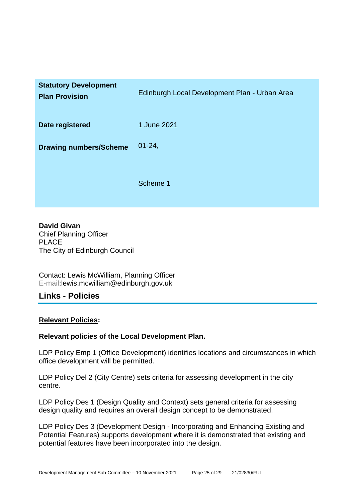| <b>Statutory Development</b><br><b>Plan Provision</b> | Edinburgh Local Development Plan - Urban Area |
|-------------------------------------------------------|-----------------------------------------------|
| Date registered                                       | 1 June 2021                                   |
| <b>Drawing numbers/Scheme</b>                         | $01 - 24$ ,                                   |
|                                                       | Scheme 1                                      |

**David Givan** Chief Planning Officer PLACE The City of Edinburgh Council

Contact: Lewis McWilliam, Planning Officer E-mail:lewis.mcwilliam@edinburgh.gov.uk

# **Links - Policies**

#### **Relevant Policies:**

#### **Relevant policies of the Local Development Plan.**

LDP Policy Emp 1 (Office Development) identifies locations and circumstances in which office development will be permitted.

LDP Policy Del 2 (City Centre) sets criteria for assessing development in the city centre.

LDP Policy Des 1 (Design Quality and Context) sets general criteria for assessing design quality and requires an overall design concept to be demonstrated.

LDP Policy Des 3 (Development Design - Incorporating and Enhancing Existing and Potential Features) supports development where it is demonstrated that existing and potential features have been incorporated into the design.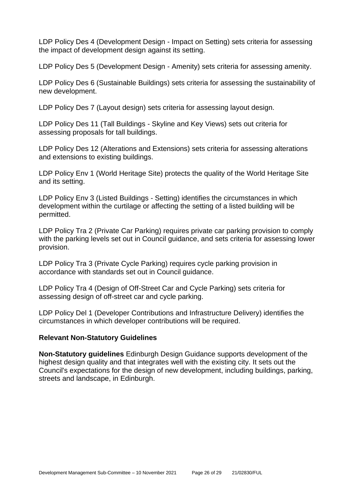LDP Policy Des 4 (Development Design - Impact on Setting) sets criteria for assessing the impact of development design against its setting.

LDP Policy Des 5 (Development Design - Amenity) sets criteria for assessing amenity.

LDP Policy Des 6 (Sustainable Buildings) sets criteria for assessing the sustainability of new development.

LDP Policy Des 7 (Layout design) sets criteria for assessing layout design.

LDP Policy Des 11 (Tall Buildings - Skyline and Key Views) sets out criteria for assessing proposals for tall buildings.

LDP Policy Des 12 (Alterations and Extensions) sets criteria for assessing alterations and extensions to existing buildings.

LDP Policy Env 1 (World Heritage Site) protects the quality of the World Heritage Site and its setting.

LDP Policy Env 3 (Listed Buildings - Setting) identifies the circumstances in which development within the curtilage or affecting the setting of a listed building will be permitted.

LDP Policy Tra 2 (Private Car Parking) requires private car parking provision to comply with the parking levels set out in Council guidance, and sets criteria for assessing lower provision.

LDP Policy Tra 3 (Private Cycle Parking) requires cycle parking provision in accordance with standards set out in Council guidance.

LDP Policy Tra 4 (Design of Off-Street Car and Cycle Parking) sets criteria for assessing design of off-street car and cycle parking.

LDP Policy Del 1 (Developer Contributions and Infrastructure Delivery) identifies the circumstances in which developer contributions will be required.

#### **Relevant Non-Statutory Guidelines**

**Non-Statutory guidelines** Edinburgh Design Guidance supports development of the highest design quality and that integrates well with the existing city. It sets out the Council's expectations for the design of new development, including buildings, parking, streets and landscape, in Edinburgh.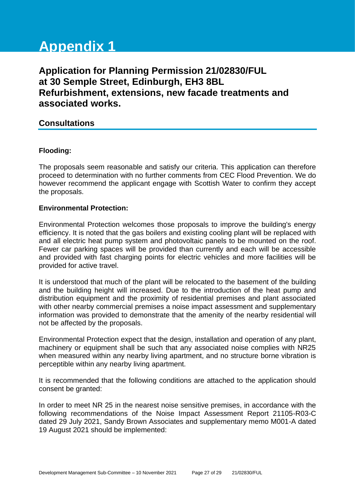# **Appendix 1**

# **Application for Planning Permission 21/02830/FUL at 30 Semple Street, Edinburgh, EH3 8BL Refurbishment, extensions, new facade treatments and associated works.**

# **Consultations**

#### **Flooding:**

The proposals seem reasonable and satisfy our criteria. This application can therefore proceed to determination with no further comments from CEC Flood Prevention. We do however recommend the applicant engage with Scottish Water to confirm they accept the proposals.

#### **Environmental Protection:**

Environmental Protection welcomes those proposals to improve the building's energy efficiency. It is noted that the gas boilers and existing cooling plant will be replaced with and all electric heat pump system and photovoltaic panels to be mounted on the roof. Fewer car parking spaces will be provided than currently and each will be accessible and provided with fast charging points for electric vehicles and more facilities will be provided for active travel.

It is understood that much of the plant will be relocated to the basement of the building and the building height will increased. Due to the introduction of the heat pump and distribution equipment and the proximity of residential premises and plant associated with other nearby commercial premises a noise impact assessment and supplementary information was provided to demonstrate that the amenity of the nearby residential will not be affected by the proposals.

Environmental Protection expect that the design, installation and operation of any plant, machinery or equipment shall be such that any associated noise complies with NR25 when measured within any nearby living apartment, and no structure borne vibration is perceptible within any nearby living apartment.

It is recommended that the following conditions are attached to the application should consent be granted:

In order to meet NR 25 in the nearest noise sensitive premises, in accordance with the following recommendations of the Noise Impact Assessment Report 21105-R03-C dated 29 July 2021, Sandy Brown Associates and supplementary memo M001-A dated 19 August 2021 should be implemented: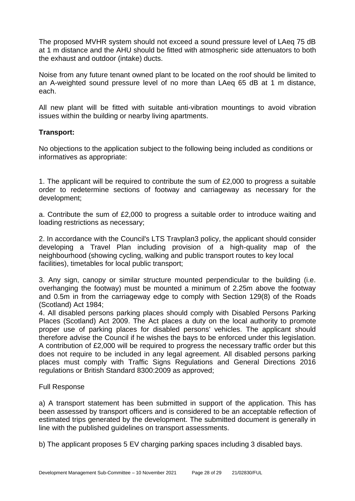The proposed MVHR system should not exceed a sound pressure level of LAeq 75 dB at 1 m distance and the AHU should be fitted with atmospheric side attenuators to both the exhaust and outdoor (intake) ducts.

Noise from any future tenant owned plant to be located on the roof should be limited to an A-weighted sound pressure level of no more than LAeq 65 dB at 1 m distance, each.

All new plant will be fitted with suitable anti-vibration mountings to avoid vibration issues within the building or nearby living apartments.

#### **Transport:**

No objections to the application subject to the following being included as conditions or informatives as appropriate:

1. The applicant will be required to contribute the sum of £2,000 to progress a suitable order to redetermine sections of footway and carriageway as necessary for the development;

a. Contribute the sum of £2,000 to progress a suitable order to introduce waiting and loading restrictions as necessary;

2. In accordance with the Council's LTS Travplan3 policy, the applicant should consider developing a Travel Plan including provision of a high-quality map of the neighbourhood (showing cycling, walking and public transport routes to key local facilities), timetables for local public transport;

3. Any sign, canopy or similar structure mounted perpendicular to the building (i.e. overhanging the footway) must be mounted a minimum of 2.25m above the footway and 0.5m in from the carriageway edge to comply with Section 129(8) of the Roads (Scotland) Act 1984;

4. All disabled persons parking places should comply with Disabled Persons Parking Places (Scotland) Act 2009. The Act places a duty on the local authority to promote proper use of parking places for disabled persons' vehicles. The applicant should therefore advise the Council if he wishes the bays to be enforced under this legislation. A contribution of £2,000 will be required to progress the necessary traffic order but this does not require to be included in any legal agreement. All disabled persons parking places must comply with Traffic Signs Regulations and General Directions 2016 regulations or British Standard 8300:2009 as approved;

#### Full Response

a) A transport statement has been submitted in support of the application. This has been assessed by transport officers and is considered to be an acceptable reflection of estimated trips generated by the development. The submitted document is generally in line with the published guidelines on transport assessments.

b) The applicant proposes 5 EV charging parking spaces including 3 disabled bays.